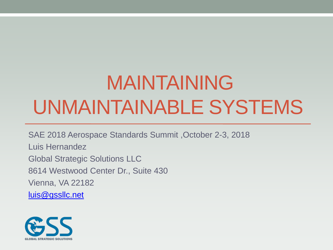# MAINTAINING UNMAINTAINABLE SYSTEMS

SAE 2018 Aerospace Standards Summit ,October 2-3, 2018 Luis Hernandez Global Strategic Solutions LLC 8614 Westwood Center Dr., Suite 430 Vienna, VA 22182 [luis@gssllc.net](mailto:luis@gssllc.net)

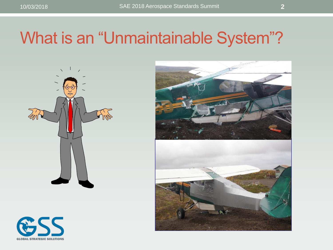### What is an "Unmaintainable System"?







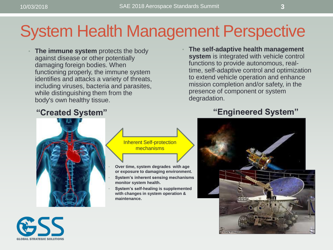### System Health Management Perspective

• **The immune system** protects the body against disease or other potentially damaging foreign bodies. When functioning properly, the immune system identifies and attacks a variety of threats, including viruses, bacteria and parasites, while distinguishing them from the body's own healthy tissue.

• **The self-adaptive health management system** is integrated with vehicle control functions to provide autonomous, realtime, self-adaptive control and optimization to extend vehicle operation and enhance mission completion and/or safety, in the presence of component or system degradation.





- **Over time, system degrades with age or exposure to damaging environment.**
- **System's inherent sensing mechanisms monitor system health.**
- **System's self-healing is supplemented with changes in system operation & maintenance.**

#### **"Created System" "Engineered System"**



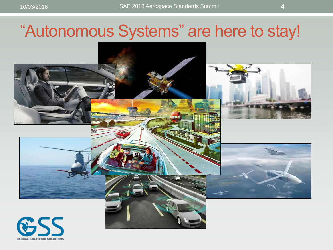### "Autonomous Systems" are here to stay!

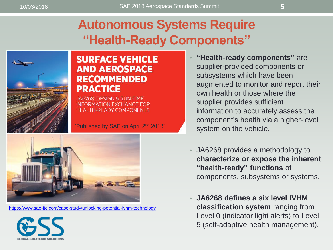#### **Autonomous Systems Require "Health-Ready Components"**



#### **SURFACE VEHICLE AND AEROSPACE RECOMMENDED PRACTICE**

JA6268: DESIGN & RUN-TIME **INFORMATION EXCHANGE FOR HEALTH-READY COMPONENTS** 

"Published by SAE on April 2<sup>nd</sup> 2018"



<https://www.sae-itc.com/case-study/unlocking-potential-ivhm-technology>



- **"Health-ready components"** are supplier-provided components or subsystems which have been augmented to monitor and report their own health or those where the supplier provides sufficient information to accurately assess the component's health via a higher-level system on the vehicle.
- JA6268 provides a methodology to **characterize or expose the inherent "health-ready" functions** of components, subsystems or systems.
- **JA6268 defines a six level IVHM classification system** ranging from Level 0 (indicator light alerts) to Level 5 (self-adaptive health management).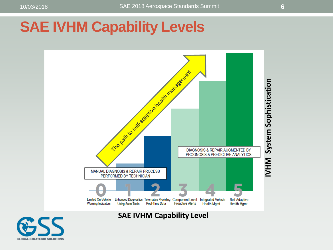#### **SAE IVHM Capability Levels**



**SAE IVHM Capability Level**